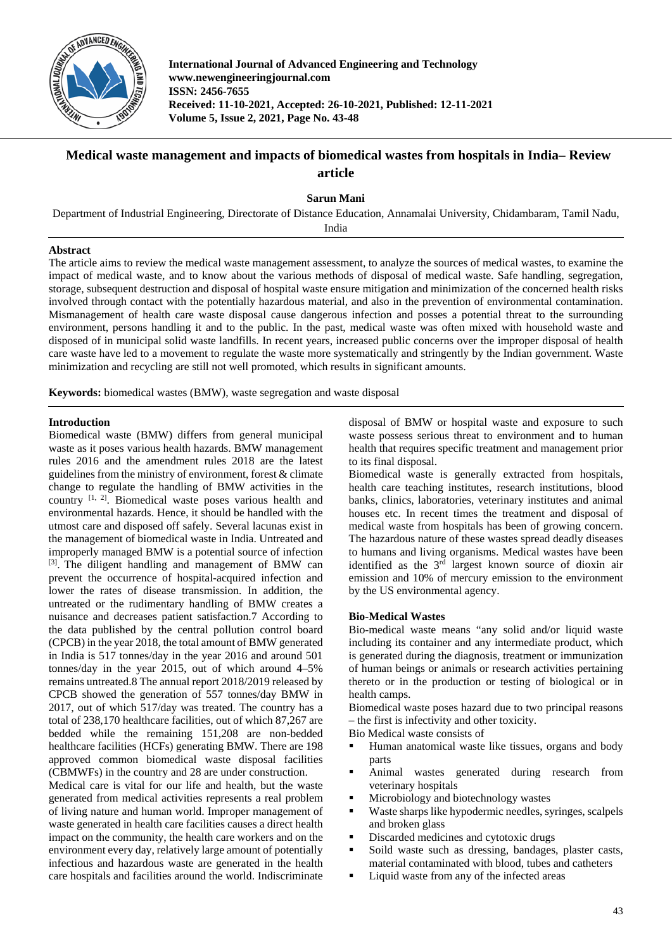

**International Journal of Advanced Engineering and Technology www.newengineeringjournal.com ISSN: 2456-7655 Received: 11-10-2021, Accepted: 26-10-2021, Published: 12-11-2021 Volume 5, Issue 2, 2021, Page No. 43-48**

# **Medical waste management and impacts of biomedical wastes from hospitals in India– Review article**

**Sarun Mani**

Department of Industrial Engineering, Directorate of Distance Education, Annamalai University, Chidambaram, Tamil Nadu,

India

# **Abstract**

The article aims to review the medical waste management assessment, to analyze the sources of medical wastes, to examine the impact of medical waste, and to know about the various methods of disposal of medical waste. Safe handling, segregation, storage, subsequent destruction and disposal of hospital waste ensure mitigation and minimization of the concerned health risks involved through contact with the potentially hazardous material, and also in the prevention of environmental contamination. Mismanagement of health care waste disposal cause dangerous infection and posses a potential threat to the surrounding environment, persons handling it and to the public. In the past, medical waste was often mixed with household waste and disposed of in municipal solid waste landfills. In recent years, increased public concerns over the improper disposal of health care waste have led to a movement to regulate the waste more systematically and stringently by the Indian government. Waste minimization and recycling are still not well promoted, which results in significant amounts.

**Keywords:** biomedical wastes (BMW), waste segregation and waste disposal

# **Introduction**

Biomedical waste (BMW) differs from general municipal waste as it poses various health hazards. BMW management rules 2016 and the amendment rules 2018 are the latest guidelines from the ministry of environment, forest & climate change to regulate the handling of BMW activities in the country <sup>[1, 2]</sup>. Biomedical waste poses various health and environmental hazards. Hence, it should be handled with the utmost care and disposed off safely. Several lacunas exist in the management of biomedical waste in India. Untreated and improperly managed BMW is a potential source of infection [3]. The diligent handling and management of BMW can prevent the occurrence of hospital-acquired infection and lower the rates of disease transmission. In addition, the untreated or the rudimentary handling of BMW creates a nuisance and decreases patient satisfaction.7 According to the data published by the central pollution control board (CPCB) in the year 2018, the total amount of BMW generated in India is 517 tonnes/day in the year 2016 and around 501 tonnes/day in the year 2015, out of which around 4–5% remains untreated.8 The annual report 2018/2019 released by CPCB showed the generation of 557 tonnes/day BMW in 2017, out of which 517/day was treated. The country has a total of 238,170 healthcare facilities, out of which 87,267 are bedded while the remaining 151,208 are non-bedded healthcare facilities (HCFs) generating BMW. There are 198 approved common biomedical waste disposal facilities (CBMWFs) in the country and 28 are under construction.

Medical care is vital for our life and health, but the waste generated from medical activities represents a real problem of living nature and human world. Improper management of waste generated in health care facilities causes a direct health impact on the community, the health care workers and on the environment every day, relatively large amount of potentially infectious and hazardous waste are generated in the health care hospitals and facilities around the world. Indiscriminate

disposal of BMW or hospital waste and exposure to such waste possess serious threat to environment and to human health that requires specific treatment and management prior to its final disposal.

Biomedical waste is generally extracted from hospitals, health care teaching institutes, research institutions, blood banks, clinics, laboratories, veterinary institutes and animal houses etc. In recent times the treatment and disposal of medical waste from hospitals has been of growing concern. The hazardous nature of these wastes spread deadly diseases to humans and living organisms. Medical wastes have been identified as the 3rd largest known source of dioxin air emission and 10% of mercury emission to the environment by the US environmental agency.

# **Bio-Medical Wastes**

Bio-medical waste means "any solid and/or liquid waste including its container and any intermediate product, which is generated during the diagnosis, treatment or immunization of human beings or animals or research activities pertaining thereto or in the production or testing of biological or in health camps.

Biomedical waste poses hazard due to two principal reasons – the first is infectivity and other toxicity.

Bio Medical waste consists of

- Human anatomical waste like tissues, organs and body parts
- Animal wastes generated during research from veterinary hospitals
- $\blacksquare$  Microbiology and biotechnology wastes<br> $\blacksquare$  Waste sharps like hypodermic needles sy
- Waste sharps like hypodermic needles, syringes, scalpels and broken glass
- Discarded medicines and cytotoxic drugs<br>
Soild waste such as drassing bandages
- Soild waste such as dressing, bandages, plaster casts, material contaminated with blood, tubes and catheters
- **Liquid waste from any of the infected areas**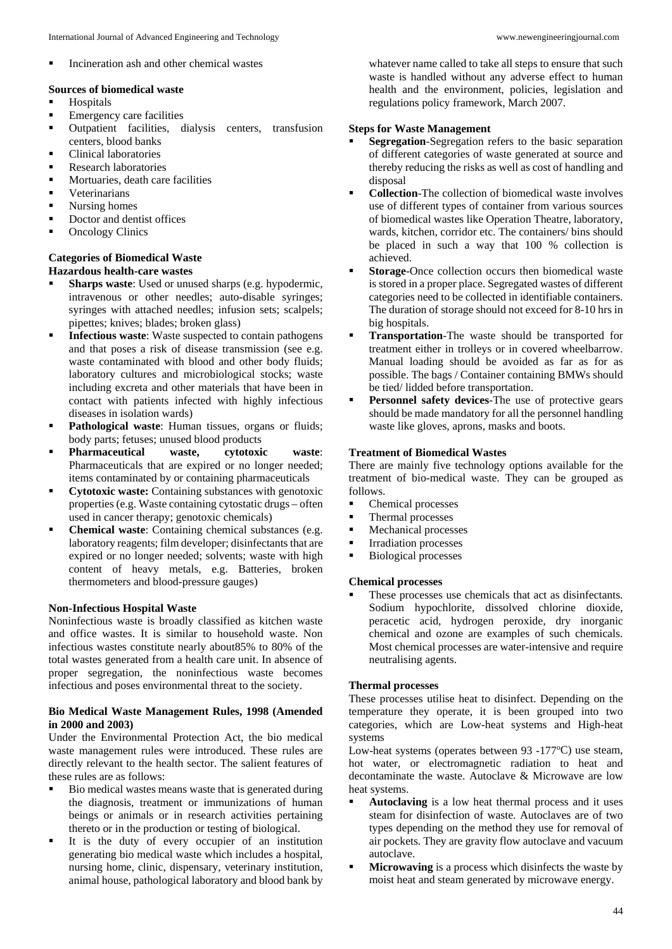Incineration ash and other chemical wastes

### **Sources of biomedical waste**

- **Hospitals**
- **Emergency care facilities**
- **•** Outpatient facilities, dialysis centers, transfusion centers, blood banks
- Clinical laboratories
- Research laboratories
- **Mortuaries, death care facilities**
- **veterinarians**
- **Nursing homes**
- **Doctor and dentist offices**
- Oncology Clinics

#### **Categories of Biomedical Waste Hazardous health-care wastes**

- **Sharps waste**: Used or unused sharps (e.g. hypodermic, intravenous or other needles; auto-disable syringes; syringes with attached needles; infusion sets; scalpels; pipettes; knives; blades; broken glass)
- **Infectious waste**: Waste suspected to contain pathogens and that poses a risk of disease transmission (see e.g. waste contaminated with blood and other body fluids; laboratory cultures and microbiological stocks; waste including excreta and other materials that have been in contact with patients infected with highly infectious diseases in isolation wards)
- **Pathological waste:** Human tissues, organs or fluids; body parts; fetuses; unused blood products
- **Pharmaceutical waste, cytotoxic waste**: Pharmaceuticals that are expired or no longer needed; items contaminated by or containing pharmaceuticals
- **Cytotoxic waste:** Containing substances with genotoxic properties (e.g. Waste containing cytostatic drugs – often used in cancer therapy; genotoxic chemicals)
- **Chemical waste**: Containing chemical substances (e.g. laboratory reagents; film developer; disinfectants that are expired or no longer needed; solvents; waste with high content of heavy metals, e.g. Batteries, broken thermometers and blood-pressure gauges)

### **Non-Infectious Hospital Waste**

Noninfectious waste is broadly classified as kitchen waste and office wastes. It is similar to household waste. Non infectious wastes constitute nearly about85% to 80% of the total wastes generated from a health care unit. In absence of proper segregation, the noninfectious waste becomes infectious and poses environmental threat to the society.

# **Bio Medical Waste Management Rules, 1998 (Amended in 2000 and 2003)**

Under the Environmental Protection Act, the bio medical waste management rules were introduced. These rules are directly relevant to the health sector. The salient features of these rules are as follows:

- Bio medical wastes means waste that is generated during the diagnosis, treatment or immunizations of human beings or animals or in research activities pertaining thereto or in the production or testing of biological.
- It is the duty of every occupier of an institution generating bio medical waste which includes a hospital, nursing home, clinic, dispensary, veterinary institution, animal house, pathological laboratory and blood bank by

whatever name called to take all steps to ensure that such waste is handled without any adverse effect to human health and the environment, policies, legislation and regulations policy framework, March 2007.

# **Steps for Waste Management**

- **Segregation**-Segregation refers to the basic separation of different categories of waste generated at source and thereby reducing the risks as well as cost of handling and disposal
- **Collection**-The collection of biomedical waste involves use of different types of container from various sources of biomedical wastes like Operation Theatre, laboratory, wards, kitchen, corridor etc. The containers/ bins should be placed in such a way that 100 % collection is achieved.
- **Storage**-Once collection occurs then biomedical waste is stored in a proper place. Segregated wastes of different categories need to be collected in identifiable containers. The duration of storage should not exceed for 8-10 hrs in big hospitals.
- **Transportation**-The waste should be transported for treatment either in trolleys or in covered wheelbarrow. Manual loading should be avoided as far as for as possible. The bags / Container containing BMWs should be tied/ lidded before transportation.
- **Personnel safety devices**-The use of protective gears should be made mandatory for all the personnel handling waste like gloves, aprons, masks and boots.

# **Treatment of Biomedical Wastes**

There are mainly five technology options available for the treatment of bio-medical waste. They can be grouped as follows.

- Chemical processes
- Thermal processes
- **Mechanical processes**
- Irradiation processes
- Biological processes

### **Chemical processes**

 These processes use chemicals that act as disinfectants. Sodium hypochlorite, dissolved chlorine dioxide, peracetic acid, hydrogen peroxide, dry inorganic chemical and ozone are examples of such chemicals. Most chemical processes are water-intensive and require neutralising agents.

### **Thermal processes**

These processes utilise heat to disinfect. Depending on the temperature they operate, it is been grouped into two categories, which are Low-heat systems and High-heat systems

Low-heat systems (operates between 93 -177°C) use steam, hot water, or electromagnetic radiation to heat and decontaminate the waste. Autoclave & Microwave are low heat systems.

- **Autoclaving** is a low heat thermal process and it uses steam for disinfection of waste. Autoclaves are of two types depending on the method they use for removal of air pockets. They are gravity flow autoclave and vacuum autoclave.
- **Microwaving** is a process which disinfects the waste by moist heat and steam generated by microwave energy.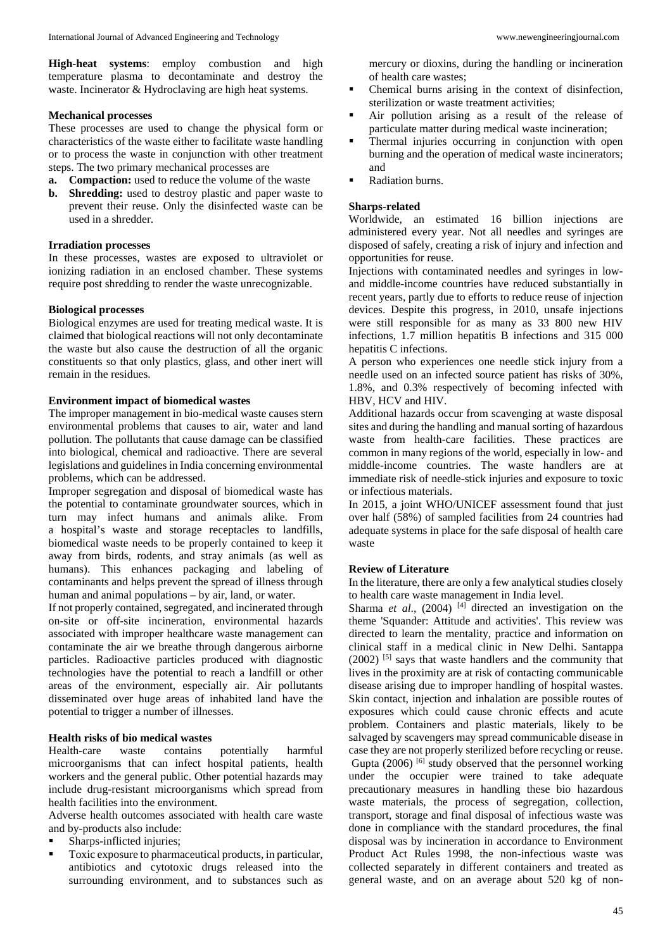**High-heat systems**: employ combustion and high temperature plasma to decontaminate and destroy the waste. Incinerator & Hydroclaving are high heat systems.

# **Mechanical processes**

These processes are used to change the physical form or characteristics of the waste either to facilitate waste handling or to process the waste in conjunction with other treatment steps. The two primary mechanical processes are

- **a. Compaction:** used to reduce the volume of the waste
- **b. Shredding:** used to destroy plastic and paper waste to prevent their reuse. Only the disinfected waste can be used in a shredder.

# **Irradiation processes**

In these processes, wastes are exposed to ultraviolet or ionizing radiation in an enclosed chamber. These systems require post shredding to render the waste unrecognizable.

# **Biological processes**

Biological enzymes are used for treating medical waste. It is claimed that biological reactions will not only decontaminate the waste but also cause the destruction of all the organic constituents so that only plastics, glass, and other inert will remain in the residues.

# **Environment impact of biomedical wastes**

The improper management in bio-medical waste causes stern environmental problems that causes to air, water and land pollution. The pollutants that cause damage can be classified into biological, chemical and radioactive. There are several legislations and guidelines in India concerning environmental problems, which can be addressed.

Improper segregation and disposal of biomedical waste has the potential to contaminate groundwater sources, which in turn may infect humans and animals alike. From a hospital's waste and storage receptacles to landfills, biomedical waste needs to be properly contained to keep it away from birds, rodents, and stray animals (as well as humans). This enhances packaging and labeling of contaminants and helps prevent the spread of illness through human and animal populations – by air, land, or water.

If not properly contained, segregated, and incinerated through on-site or off-site incineration, environmental hazards associated with improper healthcare waste management can contaminate the air we breathe through dangerous airborne particles. Radioactive particles produced with diagnostic technologies have the potential to reach a landfill or other areas of the environment, especially air. Air pollutants disseminated over huge areas of inhabited land have the potential to trigger a number of illnesses.

# **Health risks of bio medical wastes**

Health-care waste contains potentially harmful microorganisms that can infect hospital patients, health workers and the general public. Other potential hazards may include drug-resistant microorganisms which spread from health facilities into the environment.

Adverse health outcomes associated with health care waste and by-products also include:

- Sharps-inflicted injuries;
- Toxic exposure to pharmaceutical products, in particular, antibiotics and cytotoxic drugs released into the surrounding environment, and to substances such as

mercury or dioxins, during the handling or incineration of health care wastes;

- Chemical burns arising in the context of disinfection, sterilization or waste treatment activities;
- Air pollution arising as a result of the release of particulate matter during medical waste incineration;
- Thermal injuries occurring in conjunction with open burning and the operation of medical waste incinerators; and
- Radiation burns.

# **Sharps-related**

Worldwide, an estimated 16 billion injections are administered every year. Not all needles and syringes are disposed of safely, creating a risk of injury and infection and opportunities for reuse.

Injections with contaminated needles and syringes in lowand middle-income countries have reduced substantially in recent years, partly due to efforts to reduce reuse of injection devices. Despite this progress, in 2010, unsafe injections were still responsible for as many as 33 800 new HIV infections, 1.7 million hepatitis B infections and 315 000 hepatitis C infections.

A person who experiences one needle stick injury from a needle used on an infected source patient has risks of 30%, 1.8%, and 0.3% respectively of becoming infected with HBV, HCV and HIV.

Additional hazards occur from scavenging at waste disposal sites and during the handling and manual sorting of hazardous waste from health-care facilities. These practices are common in many regions of the world, especially in low- and middle-income countries. The waste handlers are at immediate risk of needle-stick injuries and exposure to toxic or infectious materials.

In 2015, a joint WHO/UNICEF assessment found that just over half (58%) of sampled facilities from 24 countries had adequate systems in place for the safe disposal of health care waste

# **Review of Literature**

In the literature, there are only a few analytical studies closely to health care waste management in India level.

Sharma *et al.*, (2004)<sup>[4]</sup> directed an investigation on the theme 'Squander: Attitude and activities'. This review was directed to learn the mentality, practice and information on clinical staff in a medical clinic in New Delhi. Santappa (2002) [5] says that waste handlers and the community that lives in the proximity are at risk of contacting communicable disease arising due to improper handling of hospital wastes. Skin contact, injection and inhalation are possible routes of exposures which could cause chronic effects and acute problem. Containers and plastic materials, likely to be salvaged by scavengers may spread communicable disease in case they are not properly sterilized before recycling or reuse. Gupta  $(2006)$  [6] study observed that the personnel working under the occupier were trained to take adequate precautionary measures in handling these bio hazardous waste materials, the process of segregation, collection, transport, storage and final disposal of infectious waste was done in compliance with the standard procedures, the final disposal was by incineration in accordance to Environment Product Act Rules 1998, the non-infectious waste was collected separately in different containers and treated as general waste, and on an average about 520 kg of non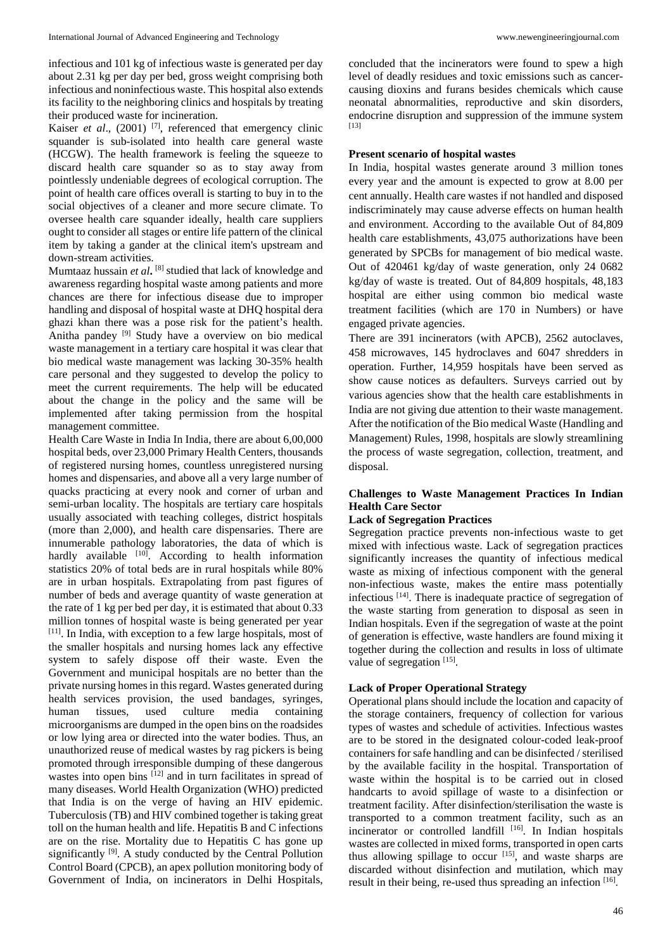infectious and 101 kg of infectious waste is generated per day about 2.31 kg per day per bed, gross weight comprising both infectious and noninfectious waste. This hospital also extends its facility to the neighboring clinics and hospitals by treating their produced waste for incineration.

Kaiser *et al.*, (2001)<sup>[7]</sup>, referenced that emergency clinic squander is sub-isolated into health care general waste (HCGW). The health framework is feeling the squeeze to discard health care squander so as to stay away from pointlessly undeniable degrees of ecological corruption. The point of health care offices overall is starting to buy in to the social objectives of a cleaner and more secure climate. To oversee health care squander ideally, health care suppliers ought to consider all stages or entire life pattern of the clinical item by taking a gander at the clinical item's upstream and down-stream activities.

Mumtaaz hussain *et al***.** [8] studied that lack of knowledge and awareness regarding hospital waste among patients and more chances are there for infectious disease due to improper handling and disposal of hospital waste at DHQ hospital dera ghazi khan there was a pose risk for the patient's health. Anitha pandey [9] Study have a overview on bio medical waste management in a tertiary care hospital it was clear that bio medical waste management was lacking 30-35% health care personal and they suggested to develop the policy to meet the current requirements. The help will be educated about the change in the policy and the same will be implemented after taking permission from the hospital management committee.

Health Care Waste in India In India, there are about 6,00,000 hospital beds, over 23,000 Primary Health Centers, thousands of registered nursing homes, countless unregistered nursing homes and dispensaries, and above all a very large number of quacks practicing at every nook and corner of urban and semi-urban locality. The hospitals are tertiary care hospitals usually associated with teaching colleges, district hospitals (more than 2,000), and health care dispensaries. There are innumerable pathology laboratories, the data of which is hardly available  $[10]$ . According to health information statistics 20% of total beds are in rural hospitals while 80% are in urban hospitals. Extrapolating from past figures of number of beds and average quantity of waste generation at the rate of 1 kg per bed per day, it is estimated that about 0.33 million tonnes of hospital waste is being generated per year [11]. In India, with exception to a few large hospitals, most of the smaller hospitals and nursing homes lack any effective system to safely dispose off their waste. Even the Government and municipal hospitals are no better than the private nursing homes in this regard. Wastes generated during health services provision, the used bandages, syringes, human tissues, used culture media containing microorganisms are dumped in the open bins on the roadsides or low lying area or directed into the water bodies. Thus, an unauthorized reuse of medical wastes by rag pickers is being promoted through irresponsible dumping of these dangerous wastes into open bins  $[12]$  and in turn facilitates in spread of many diseases. World Health Organization (WHO) predicted that India is on the verge of having an HIV epidemic. Tuberculosis (TB) and HIV combined together is taking great toll on the human health and life. Hepatitis B and C infections are on the rise. Mortality due to Hepatitis C has gone up significantly <sup>[9]</sup>. A study conducted by the Central Pollution Control Board (CPCB), an apex pollution monitoring body of Government of India, on incinerators in Delhi Hospitals,

concluded that the incinerators were found to spew a high level of deadly residues and toxic emissions such as cancercausing dioxins and furans besides chemicals which cause neonatal abnormalities, reproductive and skin disorders, endocrine disruption and suppression of the immune system [13]

### **Present scenario of hospital wastes**

In India, hospital wastes generate around 3 million tones every year and the amount is expected to grow at 8.00 per cent annually. Health care wastes if not handled and disposed indiscriminately may cause adverse effects on human health and environment. According to the available Out of 84,809 health care establishments, 43,075 authorizations have been generated by SPCBs for management of bio medical waste. Out of 420461 kg/day of waste generation, only 24 0682 kg/day of waste is treated. Out of 84,809 hospitals, 48,183 hospital are either using common bio medical waste treatment facilities (which are 170 in Numbers) or have engaged private agencies.

There are 391 incinerators (with APCB), 2562 autoclaves, 458 microwaves, 145 hydroclaves and 6047 shredders in operation. Further, 14,959 hospitals have been served as show cause notices as defaulters. Surveys carried out by various agencies show that the health care establishments in India are not giving due attention to their waste management. After the notification of the Bio medical Waste (Handling and Management) Rules, 1998, hospitals are slowly streamlining the process of waste segregation, collection, treatment, and disposal.

# **Challenges to Waste Management Practices In Indian Health Care Sector**

# **Lack of Segregation Practices**

Segregation practice prevents non-infectious waste to get mixed with infectious waste. Lack of segregation practices significantly increases the quantity of infectious medical waste as mixing of infectious component with the general non-infectious waste, makes the entire mass potentially infectious [14]. There is inadequate practice of segregation of the waste starting from generation to disposal as seen in Indian hospitals. Even if the segregation of waste at the point of generation is effective, waste handlers are found mixing it together during the collection and results in loss of ultimate value of segregation [15].

### **Lack of Proper Operational Strategy**

Operational plans should include the location and capacity of the storage containers, frequency of collection for various types of wastes and schedule of activities. Infectious wastes are to be stored in the designated colour-coded leak-proof containers for safe handling and can be disinfected / sterilised by the available facility in the hospital. Transportation of waste within the hospital is to be carried out in closed handcarts to avoid spillage of waste to a disinfection or treatment facility. After disinfection/sterilisation the waste is transported to a common treatment facility, such as an incinerator or controlled landfill [16]. In Indian hospitals wastes are collected in mixed forms, transported in open carts thus allowing spillage to occur  $[15]$ , and waste sharps are discarded without disinfection and mutilation, which may result in their being, re-used thus spreading an infection [16].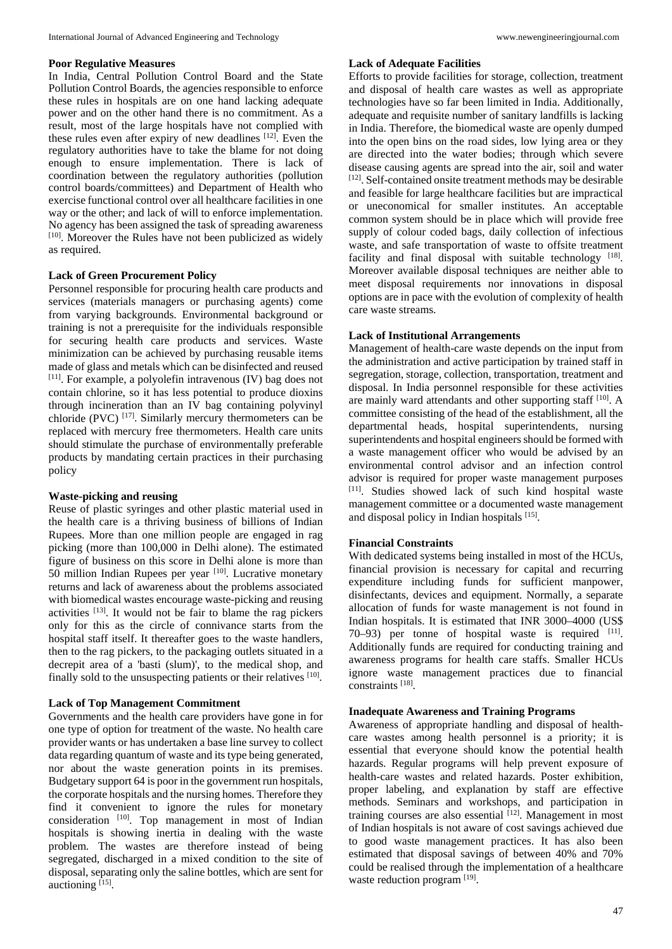### **Poor Regulative Measures**

In India, Central Pollution Control Board and the State Pollution Control Boards, the agencies responsible to enforce these rules in hospitals are on one hand lacking adequate power and on the other hand there is no commitment. As a result, most of the large hospitals have not complied with these rules even after expiry of new deadlines [12]. Even the regulatory authorities have to take the blame for not doing enough to ensure implementation. There is lack of coordination between the regulatory authorities (pollution control boards/committees) and Department of Health who exercise functional control over all healthcare facilities in one way or the other; and lack of will to enforce implementation. No agency has been assigned the task of spreading awareness [10]. Moreover the Rules have not been publicized as widely as required.

# **Lack of Green Procurement Policy**

Personnel responsible for procuring health care products and services (materials managers or purchasing agents) come from varying backgrounds. Environmental background or training is not a prerequisite for the individuals responsible for securing health care products and services. Waste minimization can be achieved by purchasing reusable items made of glass and metals which can be disinfected and reused  $[11]$ . For example, a polyolefin intravenous  $(IV)$  bag does not contain chlorine, so it has less potential to produce dioxins through incineration than an IV bag containing polyvinyl chloride (PVC)  $^{[17]}$ . Similarly mercury thermometers can be replaced with mercury free thermometers. Health care units should stimulate the purchase of environmentally preferable products by mandating certain practices in their purchasing policy

### **Waste-picking and reusing**

Reuse of plastic syringes and other plastic material used in the health care is a thriving business of billions of Indian Rupees. More than one million people are engaged in rag picking (more than 100,000 in Delhi alone). The estimated figure of business on this score in Delhi alone is more than 50 million Indian Rupees per year [10]. Lucrative monetary returns and lack of awareness about the problems associated with biomedical wastes encourage waste-picking and reusing activities [13]. It would not be fair to blame the rag pickers only for this as the circle of connivance starts from the hospital staff itself. It thereafter goes to the waste handlers, then to the rag pickers, to the packaging outlets situated in a decrepit area of a 'basti (slum)', to the medical shop, and finally sold to the unsuspecting patients or their relatives [10].

### **Lack of Top Management Commitment**

Governments and the health care providers have gone in for one type of option for treatment of the waste. No health care provider wants or has undertaken a base line survey to collect data regarding quantum of waste and its type being generated, nor about the waste generation points in its premises. Budgetary support 64 is poor in the government run hospitals, the corporate hospitals and the nursing homes. Therefore they find it convenient to ignore the rules for monetary consideration [10]. Top management in most of Indian hospitals is showing inertia in dealing with the waste problem. The wastes are therefore instead of being segregated, discharged in a mixed condition to the site of disposal, separating only the saline bottles, which are sent for auctioning [15].

#### **Lack of Adequate Facilities**

Efforts to provide facilities for storage, collection, treatment and disposal of health care wastes as well as appropriate technologies have so far been limited in India. Additionally, adequate and requisite number of sanitary landfills is lacking in India. Therefore, the biomedical waste are openly dumped into the open bins on the road sides, low lying area or they are directed into the water bodies; through which severe disease causing agents are spread into the air, soil and water [12]. Self-contained onsite treatment methods may be desirable and feasible for large healthcare facilities but are impractical or uneconomical for smaller institutes. An acceptable common system should be in place which will provide free supply of colour coded bags, daily collection of infectious waste, and safe transportation of waste to offsite treatment facility and final disposal with suitable technology [18]. Moreover available disposal techniques are neither able to meet disposal requirements nor innovations in disposal options are in pace with the evolution of complexity of health care waste streams.

# **Lack of Institutional Arrangements**

Management of health-care waste depends on the input from the administration and active participation by trained staff in segregation, storage, collection, transportation, treatment and disposal. In India personnel responsible for these activities are mainly ward attendants and other supporting staff  $[10]$ . A committee consisting of the head of the establishment, all the departmental heads, hospital superintendents, nursing superintendents and hospital engineers should be formed with a waste management officer who would be advised by an environmental control advisor and an infection control advisor is required for proper waste management purposes [11]. Studies showed lack of such kind hospital waste management committee or a documented waste management and disposal policy in Indian hospitals [15].

### **Financial Constraints**

With dedicated systems being installed in most of the HCUs, financial provision is necessary for capital and recurring expenditure including funds for sufficient manpower, disinfectants, devices and equipment. Normally, a separate allocation of funds for waste management is not found in Indian hospitals. It is estimated that INR 3000–4000 (US\$ 70–93) per tonne of hospital waste is required [11]. Additionally funds are required for conducting training and awareness programs for health care staffs. Smaller HCUs ignore waste management practices due to financial constraints [18].

# **Inadequate Awareness and Training Programs**

Awareness of appropriate handling and disposal of healthcare wastes among health personnel is a priority; it is essential that everyone should know the potential health hazards. Regular programs will help prevent exposure of health-care wastes and related hazards. Poster exhibition, proper labeling, and explanation by staff are effective methods. Seminars and workshops, and participation in training courses are also essential [12]. Management in most of Indian hospitals is not aware of cost savings achieved due to good waste management practices. It has also been estimated that disposal savings of between 40% and 70% could be realised through the implementation of a healthcare waste reduction program [19].